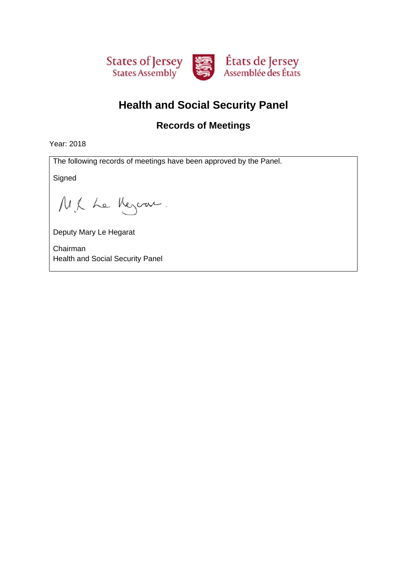

# **Health and Social Security Panel**

### **Records of Meetings**

Year: 2018

The following records of meetings have been approved by the Panel.

**Signed** 

M.K Le Meyern.

Deputy Mary Le Hegarat

Chairman Health and Social Security Panel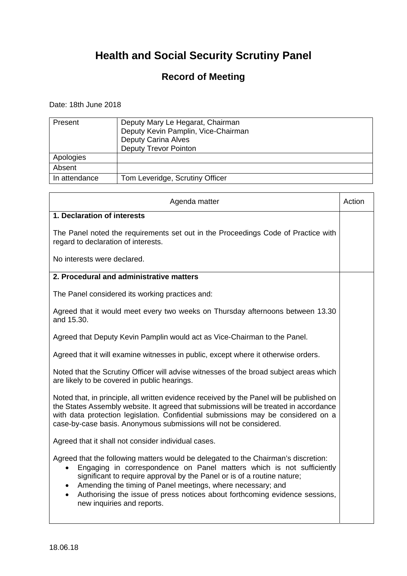### **Record of Meeting**

Date: 18th June 2018

| Present       | Deputy Mary Le Hegarat, Chairman<br>Deputy Kevin Pamplin, Vice-Chairman<br><b>Deputy Carina Alves</b><br><b>Deputy Trevor Pointon</b> |
|---------------|---------------------------------------------------------------------------------------------------------------------------------------|
| Apologies     |                                                                                                                                       |
| Absent        |                                                                                                                                       |
| In attendance | Tom Leveridge, Scrutiny Officer                                                                                                       |

| Agenda matter<br>Action                                                                                                                                                                                                                                                                                                                                                                                                                                   |  |
|-----------------------------------------------------------------------------------------------------------------------------------------------------------------------------------------------------------------------------------------------------------------------------------------------------------------------------------------------------------------------------------------------------------------------------------------------------------|--|
| 1. Declaration of interests                                                                                                                                                                                                                                                                                                                                                                                                                               |  |
| The Panel noted the requirements set out in the Proceedings Code of Practice with<br>regard to declaration of interests.                                                                                                                                                                                                                                                                                                                                  |  |
| No interests were declared.                                                                                                                                                                                                                                                                                                                                                                                                                               |  |
| 2. Procedural and administrative matters                                                                                                                                                                                                                                                                                                                                                                                                                  |  |
| The Panel considered its working practices and:                                                                                                                                                                                                                                                                                                                                                                                                           |  |
| Agreed that it would meet every two weeks on Thursday afternoons between 13.30<br>and 15.30.                                                                                                                                                                                                                                                                                                                                                              |  |
| Agreed that Deputy Kevin Pamplin would act as Vice-Chairman to the Panel.                                                                                                                                                                                                                                                                                                                                                                                 |  |
| Agreed that it will examine witnesses in public, except where it otherwise orders.                                                                                                                                                                                                                                                                                                                                                                        |  |
| Noted that the Scrutiny Officer will advise witnesses of the broad subject areas which<br>are likely to be covered in public hearings.                                                                                                                                                                                                                                                                                                                    |  |
| Noted that, in principle, all written evidence received by the Panel will be published on<br>the States Assembly website. It agreed that submissions will be treated in accordance<br>with data protection legislation. Confidential submissions may be considered on a<br>case-by-case basis. Anonymous submissions will not be considered.                                                                                                              |  |
| Agreed that it shall not consider individual cases.                                                                                                                                                                                                                                                                                                                                                                                                       |  |
| Agreed that the following matters would be delegated to the Chairman's discretion:<br>Engaging in correspondence on Panel matters which is not sufficiently<br>$\bullet$<br>significant to require approval by the Panel or is of a routine nature;<br>Amending the timing of Panel meetings, where necessary; and<br>$\bullet$<br>Authorising the issue of press notices about forthcoming evidence sessions,<br>$\bullet$<br>new inquiries and reports. |  |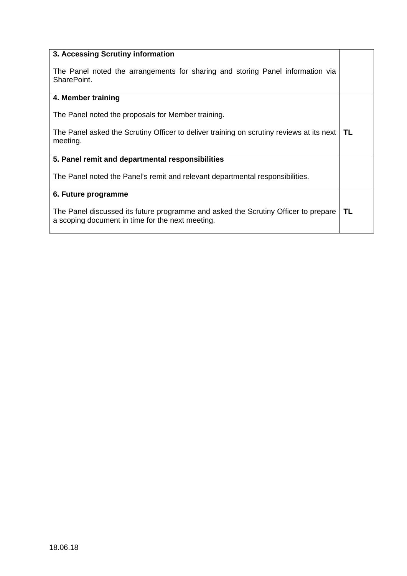| 3. Accessing Scrutiny information                                                                                                      |    |
|----------------------------------------------------------------------------------------------------------------------------------------|----|
| The Panel noted the arrangements for sharing and storing Panel information via<br>SharePoint.                                          |    |
| 4. Member training                                                                                                                     |    |
| The Panel noted the proposals for Member training.                                                                                     |    |
| The Panel asked the Scrutiny Officer to deliver training on scrutiny reviews at its next<br>meeting.                                   | TL |
| 5. Panel remit and departmental responsibilities                                                                                       |    |
| The Panel noted the Panel's remit and relevant departmental responsibilities.                                                          |    |
| 6. Future programme                                                                                                                    |    |
| The Panel discussed its future programme and asked the Scrutiny Officer to prepare<br>a scoping document in time for the next meeting. | TL |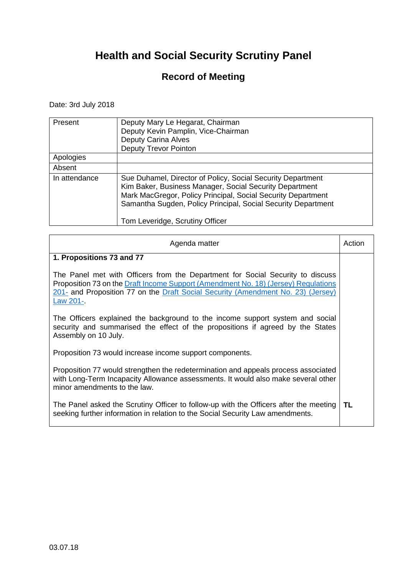### **Record of Meeting**

Date: 3rd July 2018

| Present       | Deputy Mary Le Hegarat, Chairman<br>Deputy Kevin Pamplin, Vice-Chairman<br><b>Deputy Carina Alves</b><br><b>Deputy Trevor Pointon</b>                                                                                                                                                      |
|---------------|--------------------------------------------------------------------------------------------------------------------------------------------------------------------------------------------------------------------------------------------------------------------------------------------|
| Apologies     |                                                                                                                                                                                                                                                                                            |
| Absent        |                                                                                                                                                                                                                                                                                            |
| In attendance | Sue Duhamel, Director of Policy, Social Security Department<br>Kim Baker, Business Manager, Social Security Department<br>Mark MacGregor, Policy Principal, Social Security Department<br>Samantha Sugden, Policy Principal, Social Security Department<br>Tom Leveridge, Scrutiny Officer |

| Agenda matter                                                                                                                                                                                                                                                        | Action |
|----------------------------------------------------------------------------------------------------------------------------------------------------------------------------------------------------------------------------------------------------------------------|--------|
| 1. Propositions 73 and 77                                                                                                                                                                                                                                            |        |
| The Panel met with Officers from the Department for Social Security to discuss<br>Proposition 73 on the Draft Income Support (Amendment No. 18) (Jersey) Regulations<br>201- and Proposition 77 on the Draft Social Security (Amendment No. 23) (Jersey)<br>Law 201- |        |
| The Officers explained the background to the income support system and social<br>security and summarised the effect of the propositions if agreed by the States<br>Assembly on 10 July.                                                                              |        |
| Proposition 73 would increase income support components.                                                                                                                                                                                                             |        |
| Proposition 77 would strengthen the redetermination and appeals process associated<br>with Long-Term Incapacity Allowance assessments. It would also make several other<br>minor amendments to the law.                                                              |        |
| The Panel asked the Scrutiny Officer to follow-up with the Officers after the meeting<br>seeking further information in relation to the Social Security Law amendments.                                                                                              | TL.    |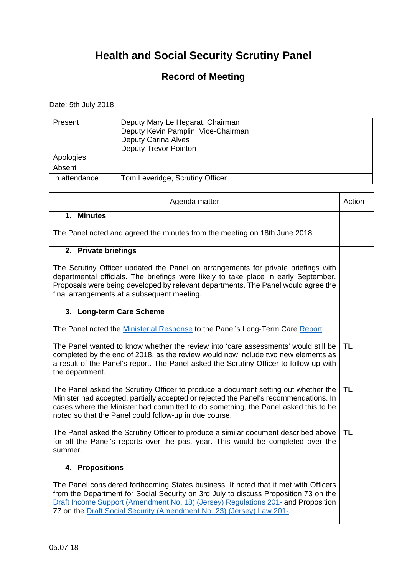### **Record of Meeting**

Date: 5th July 2018

| Present       | Deputy Mary Le Hegarat, Chairman<br>Deputy Kevin Pamplin, Vice-Chairman<br><b>Deputy Carina Alves</b><br><b>Deputy Trevor Pointon</b> |
|---------------|---------------------------------------------------------------------------------------------------------------------------------------|
| Apologies     |                                                                                                                                       |
| Absent        |                                                                                                                                       |
| In attendance | Tom Leveridge, Scrutiny Officer                                                                                                       |

| Agenda matter                                                                                                                                                                                                                                                                                                                              | Action    |
|--------------------------------------------------------------------------------------------------------------------------------------------------------------------------------------------------------------------------------------------------------------------------------------------------------------------------------------------|-----------|
| 1. Minutes                                                                                                                                                                                                                                                                                                                                 |           |
| The Panel noted and agreed the minutes from the meeting on 18th June 2018.                                                                                                                                                                                                                                                                 |           |
| 2. Private briefings                                                                                                                                                                                                                                                                                                                       |           |
| The Scrutiny Officer updated the Panel on arrangements for private briefings with<br>departmental officials. The briefings were likely to take place in early September.<br>Proposals were being developed by relevant departments. The Panel would agree the<br>final arrangements at a subsequent meeting.                               |           |
| 3. Long-term Care Scheme                                                                                                                                                                                                                                                                                                                   |           |
| The Panel noted the Ministerial Response to the Panel's Long-Term Care Report.                                                                                                                                                                                                                                                             |           |
| The Panel wanted to know whether the review into 'care assessments' would still be<br>completed by the end of 2018, as the review would now include two new elements as<br>a result of the Panel's report. The Panel asked the Scrutiny Officer to follow-up with<br>the department.                                                       | <b>TL</b> |
| The Panel asked the Scrutiny Officer to produce a document setting out whether the<br>Minister had accepted, partially accepted or rejected the Panel's recommendations. In<br>cases where the Minister had committed to do something, the Panel asked this to be<br>noted so that the Panel could follow-up in due course.                | <b>TL</b> |
| The Panel asked the Scrutiny Officer to produce a similar document described above<br>for all the Panel's reports over the past year. This would be completed over the<br>summer.                                                                                                                                                          | <b>TL</b> |
| 4. Propositions                                                                                                                                                                                                                                                                                                                            |           |
| The Panel considered forthcoming States business. It noted that it met with Officers<br>from the Department for Social Security on 3rd July to discuss Proposition 73 on the<br>Draft Income Support (Amendment No. 18) (Jersey) Regulations 201- and Proposition<br>77 on the Draft Social Security (Amendment No. 23) (Jersey) Law 201-. |           |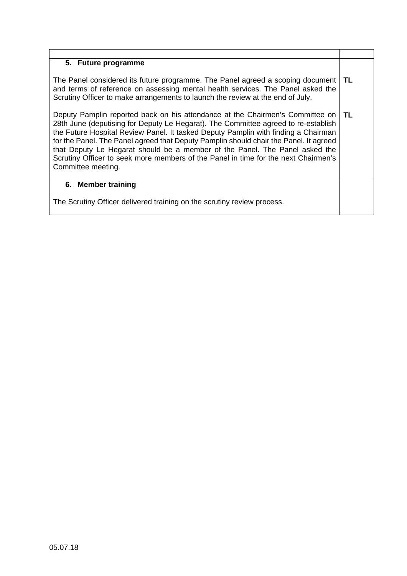#### **5. Future programme**  The Panel considered its future programme. The Panel agreed a scoping document and terms of reference on assessing mental health services. The Panel asked the Scrutiny Officer to make arrangements to launch the review at the end of July. Deputy Pamplin reported back on his attendance at the Chairmen's Committee on 28th June (deputising for Deputy Le Hegarat). The Committee agreed to re-establish the Future Hospital Review Panel. It tasked Deputy Pamplin with finding a Chairman for the Panel. The Panel agreed that Deputy Pamplin should chair the Panel. It agreed that Deputy Le Hegarat should be a member of the Panel. The Panel asked the Scrutiny Officer to seek more members of the Panel in time for the next Chairmen's Committee meeting. **TL TL 6. Member training**  The Scrutiny Officer delivered training on the scrutiny review process.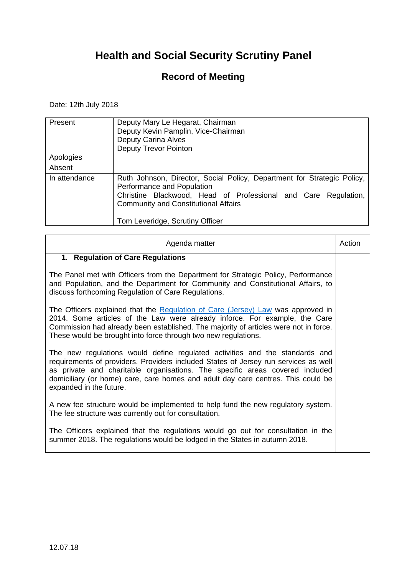### **Record of Meeting**

Date: 12th July 2018

| Present       | Deputy Mary Le Hegarat, Chairman<br>Deputy Kevin Pamplin, Vice-Chairman<br><b>Deputy Carina Alves</b><br><b>Deputy Trevor Pointon</b>                                                                                                                     |
|---------------|-----------------------------------------------------------------------------------------------------------------------------------------------------------------------------------------------------------------------------------------------------------|
| Apologies     |                                                                                                                                                                                                                                                           |
| Absent        |                                                                                                                                                                                                                                                           |
| In attendance | Ruth Johnson, Director, Social Policy, Department for Strategic Policy,<br>Performance and Population<br>Christine Blackwood, Head of Professional and Care Regulation,<br><b>Community and Constitutional Affairs</b><br>Tom Leveridge, Scrutiny Officer |

| Agenda matter                                                                                                                                                                                                                                                                                                                                                     | Action |
|-------------------------------------------------------------------------------------------------------------------------------------------------------------------------------------------------------------------------------------------------------------------------------------------------------------------------------------------------------------------|--------|
| 1. Regulation of Care Regulations                                                                                                                                                                                                                                                                                                                                 |        |
| The Panel met with Officers from the Department for Strategic Policy, Performance<br>and Population, and the Department for Community and Constitutional Affairs, to<br>discuss forthcoming Regulation of Care Regulations.                                                                                                                                       |        |
| The Officers explained that the Regulation of Care (Jersey) Law was approved in<br>2014. Some articles of the Law were already inforce. For example, the Care<br>Commission had already been established. The majority of articles were not in force.<br>These would be brought into force through two new regulations.                                           |        |
| The new regulations would define regulated activities and the standards and<br>requirements of providers. Providers included States of Jersey run services as well<br>as private and charitable organisations. The specific areas covered included<br>domiciliary (or home) care, care homes and adult day care centres. This could be<br>expanded in the future. |        |
| A new fee structure would be implemented to help fund the new regulatory system.<br>The fee structure was currently out for consultation.                                                                                                                                                                                                                         |        |
| The Officers explained that the regulations would go out for consultation in the<br>summer 2018. The regulations would be lodged in the States in autumn 2018.                                                                                                                                                                                                    |        |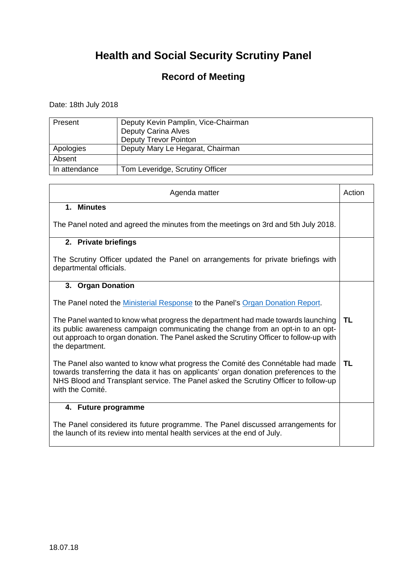### **Record of Meeting**

Date: 18th July 2018

| Present       | Deputy Kevin Pamplin, Vice-Chairman<br><b>Deputy Carina Alves</b><br><b>Deputy Trevor Pointon</b> |
|---------------|---------------------------------------------------------------------------------------------------|
| Apologies     | Deputy Mary Le Hegarat, Chairman                                                                  |
| Absent        |                                                                                                   |
| In attendance | Tom Leveridge, Scrutiny Officer                                                                   |

| Agenda matter                                                                                                                                                                                                                                                                      | Action |
|------------------------------------------------------------------------------------------------------------------------------------------------------------------------------------------------------------------------------------------------------------------------------------|--------|
| 1. Minutes                                                                                                                                                                                                                                                                         |        |
| The Panel noted and agreed the minutes from the meetings on 3rd and 5th July 2018.                                                                                                                                                                                                 |        |
| 2. Private briefings                                                                                                                                                                                                                                                               |        |
| The Scrutiny Officer updated the Panel on arrangements for private briefings with<br>departmental officials.                                                                                                                                                                       |        |
| 3. Organ Donation                                                                                                                                                                                                                                                                  |        |
| The Panel noted the Ministerial Response to the Panel's Organ Donation Report.                                                                                                                                                                                                     |        |
| The Panel wanted to know what progress the department had made towards launching<br>its public awareness campaign communicating the change from an opt-in to an opt-<br>out approach to organ donation. The Panel asked the Scrutiny Officer to follow-up with<br>the department.  | TL     |
| The Panel also wanted to know what progress the Comité des Connétable had made<br>towards transferring the data it has on applicants' organ donation preferences to the<br>NHS Blood and Transplant service. The Panel asked the Scrutiny Officer to follow-up<br>with the Comité. | TL     |
| 4. Future programme                                                                                                                                                                                                                                                                |        |
| The Panel considered its future programme. The Panel discussed arrangements for<br>the launch of its review into mental health services at the end of July.                                                                                                                        |        |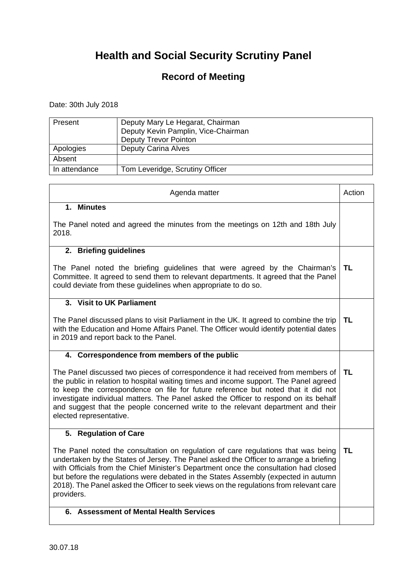### **Record of Meeting**

Date: 30th July 2018

| Present       | Deputy Mary Le Hegarat, Chairman<br>Deputy Kevin Pamplin, Vice-Chairman<br><b>Deputy Trevor Pointon</b> |
|---------------|---------------------------------------------------------------------------------------------------------|
| Apologies     | <b>Deputy Carina Alves</b>                                                                              |
| Absent        |                                                                                                         |
| In attendance | Tom Leveridge, Scrutiny Officer                                                                         |

| Agenda matter                                                                                                                                                                                                                                                                                                                                                                                                                                                         | Action    |
|-----------------------------------------------------------------------------------------------------------------------------------------------------------------------------------------------------------------------------------------------------------------------------------------------------------------------------------------------------------------------------------------------------------------------------------------------------------------------|-----------|
| 1. Minutes                                                                                                                                                                                                                                                                                                                                                                                                                                                            |           |
| The Panel noted and agreed the minutes from the meetings on 12th and 18th July<br>2018.                                                                                                                                                                                                                                                                                                                                                                               |           |
| 2. Briefing guidelines                                                                                                                                                                                                                                                                                                                                                                                                                                                |           |
| The Panel noted the briefing guidelines that were agreed by the Chairman's<br>Committee. It agreed to send them to relevant departments. It agreed that the Panel<br>could deviate from these guidelines when appropriate to do so.                                                                                                                                                                                                                                   | TL        |
| 3. Visit to UK Parliament                                                                                                                                                                                                                                                                                                                                                                                                                                             |           |
| The Panel discussed plans to visit Parliament in the UK. It agreed to combine the trip<br>with the Education and Home Affairs Panel. The Officer would identify potential dates<br>in 2019 and report back to the Panel.                                                                                                                                                                                                                                              | <b>TL</b> |
| 4. Correspondence from members of the public                                                                                                                                                                                                                                                                                                                                                                                                                          |           |
| The Panel discussed two pieces of correspondence it had received from members of<br>the public in relation to hospital waiting times and income support. The Panel agreed<br>to keep the correspondence on file for future reference but noted that it did not<br>investigate individual matters. The Panel asked the Officer to respond on its behalf<br>and suggest that the people concerned write to the relevant department and their<br>elected representative. | <b>TL</b> |
| 5. Regulation of Care                                                                                                                                                                                                                                                                                                                                                                                                                                                 |           |
| The Panel noted the consultation on regulation of care regulations that was being<br>undertaken by the States of Jersey. The Panel asked the Officer to arrange a briefing<br>with Officials from the Chief Minister's Department once the consultation had closed<br>but before the regulations were debated in the States Assembly (expected in autumn<br>2018). The Panel asked the Officer to seek views on the regulations from relevant care<br>providers.      | <b>TL</b> |
| <b>Assessment of Mental Health Services</b><br>6.                                                                                                                                                                                                                                                                                                                                                                                                                     |           |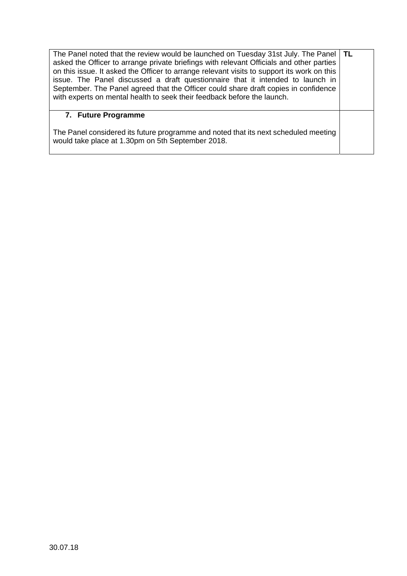| The Panel noted that the review would be launched on Tuesday 31st July. The Panel   TL<br>asked the Officer to arrange private briefings with relevant Officials and other parties<br>on this issue. It asked the Officer to arrange relevant visits to support its work on this<br>issue. The Panel discussed a draft questionnaire that it intended to launch in<br>September. The Panel agreed that the Officer could share draft copies in confidence<br>with experts on mental health to seek their feedback before the launch. |  |
|--------------------------------------------------------------------------------------------------------------------------------------------------------------------------------------------------------------------------------------------------------------------------------------------------------------------------------------------------------------------------------------------------------------------------------------------------------------------------------------------------------------------------------------|--|
| 7. Future Programme                                                                                                                                                                                                                                                                                                                                                                                                                                                                                                                  |  |
| The Panel considered its future programme and noted that its next scheduled meeting<br>would take place at 1.30pm on 5th September 2018.                                                                                                                                                                                                                                                                                                                                                                                             |  |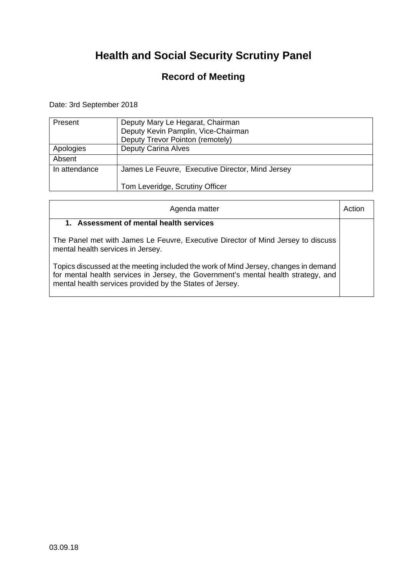### **Record of Meeting**

Date: 3rd September 2018

| Present       | Deputy Mary Le Hegarat, Chairman<br>Deputy Kevin Pamplin, Vice-Chairman<br>Deputy Trevor Pointon (remotely) |
|---------------|-------------------------------------------------------------------------------------------------------------|
| Apologies     | <b>Deputy Carina Alves</b>                                                                                  |
| Absent        |                                                                                                             |
| In attendance | James Le Feuvre, Executive Director, Mind Jersey                                                            |
|               | Tom Leveridge, Scrutiny Officer                                                                             |

| Agenda matter                                                                                                                                                                                                                         |  |
|---------------------------------------------------------------------------------------------------------------------------------------------------------------------------------------------------------------------------------------|--|
| Assessment of mental health services<br>1.                                                                                                                                                                                            |  |
| The Panel met with James Le Feuvre, Executive Director of Mind Jersey to discuss<br>mental health services in Jersey.                                                                                                                 |  |
| Topics discussed at the meeting included the work of Mind Jersey, changes in demand<br>for mental health services in Jersey, the Government's mental health strategy, and<br>mental health services provided by the States of Jersey. |  |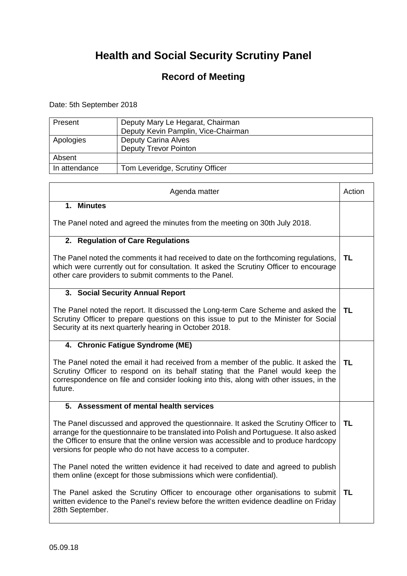### **Record of Meeting**

Date: 5th September 2018

| Present       | Deputy Mary Le Hegarat, Chairman<br>Deputy Kevin Pamplin, Vice-Chairman |
|---------------|-------------------------------------------------------------------------|
| Apologies     | <b>Deputy Carina Alves</b><br><b>Deputy Trevor Pointon</b>              |
| Absent        |                                                                         |
| In attendance | Tom Leveridge, Scrutiny Officer                                         |

| Agenda matter                                                                                                                                                                                                                                                                                                                         | Action    |
|---------------------------------------------------------------------------------------------------------------------------------------------------------------------------------------------------------------------------------------------------------------------------------------------------------------------------------------|-----------|
| 1. Minutes<br>The Panel noted and agreed the minutes from the meeting on 30th July 2018.                                                                                                                                                                                                                                              |           |
| 2. Regulation of Care Regulations                                                                                                                                                                                                                                                                                                     |           |
| The Panel noted the comments it had received to date on the forthcoming regulations,<br>which were currently out for consultation. It asked the Scrutiny Officer to encourage<br>other care providers to submit comments to the Panel.                                                                                                | TL        |
| 3. Social Security Annual Report                                                                                                                                                                                                                                                                                                      |           |
| The Panel noted the report. It discussed the Long-term Care Scheme and asked the<br>Scrutiny Officer to prepare questions on this issue to put to the Minister for Social<br>Security at its next quarterly hearing in October 2018.                                                                                                  | TL        |
| 4. Chronic Fatigue Syndrome (ME)                                                                                                                                                                                                                                                                                                      |           |
| The Panel noted the email it had received from a member of the public. It asked the<br>Scrutiny Officer to respond on its behalf stating that the Panel would keep the<br>correspondence on file and consider looking into this, along with other issues, in the<br>future.                                                           | TL        |
| 5. Assessment of mental health services                                                                                                                                                                                                                                                                                               |           |
| The Panel discussed and approved the questionnaire. It asked the Scrutiny Officer to<br>arrange for the questionnaire to be translated into Polish and Portuguese. It also asked<br>the Officer to ensure that the online version was accessible and to produce hardcopy<br>versions for people who do not have access to a computer. | <b>TL</b> |
| The Panel noted the written evidence it had received to date and agreed to publish<br>them online (except for those submissions which were confidential).                                                                                                                                                                             |           |
| The Panel asked the Scrutiny Officer to encourage other organisations to submit<br>written evidence to the Panel's review before the written evidence deadline on Friday<br>28th September.                                                                                                                                           | <b>TL</b> |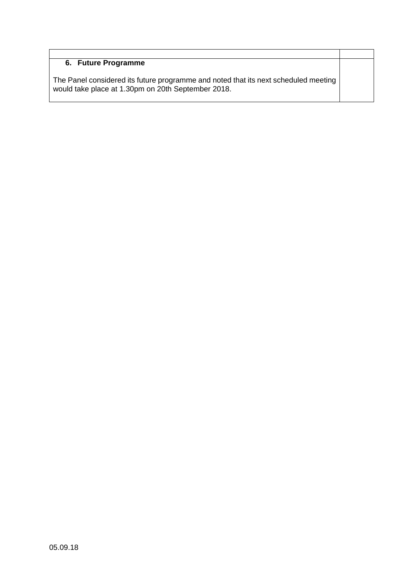#### **6. Future Programme**

The Panel considered its future programme and noted that its next scheduled meeting would take place at 1.30pm on 20th September 2018.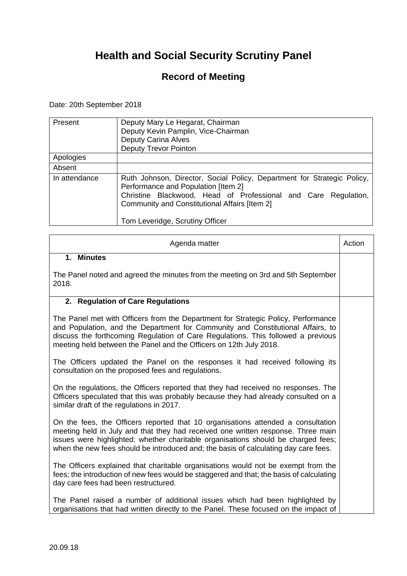### **Record of Meeting**

Date: 20th September 2018

| Present       | Deputy Mary Le Hegarat, Chairman<br>Deputy Kevin Pamplin, Vice-Chairman<br><b>Deputy Carina Alves</b><br><b>Deputy Trevor Pointon</b>                                                                                                                                |
|---------------|----------------------------------------------------------------------------------------------------------------------------------------------------------------------------------------------------------------------------------------------------------------------|
| Apologies     |                                                                                                                                                                                                                                                                      |
| Absent        |                                                                                                                                                                                                                                                                      |
| In attendance | Ruth Johnson, Director, Social Policy, Department for Strategic Policy,<br>Performance and Population [Item 2]<br>Christine Blackwood, Head of Professional and Care Regulation,<br>Community and Constitutional Affairs [Item 2]<br>Tom Leveridge, Scrutiny Officer |

| Agenda matter                                                                                                                                                                                                                                                                                                                                    | Action |
|--------------------------------------------------------------------------------------------------------------------------------------------------------------------------------------------------------------------------------------------------------------------------------------------------------------------------------------------------|--------|
| 1. Minutes                                                                                                                                                                                                                                                                                                                                       |        |
| The Panel noted and agreed the minutes from the meeting on 3rd and 5th September<br>2018.                                                                                                                                                                                                                                                        |        |
| 2. Regulation of Care Regulations                                                                                                                                                                                                                                                                                                                |        |
| The Panel met with Officers from the Department for Strategic Policy, Performance<br>and Population, and the Department for Community and Constitutional Affairs, to<br>discuss the forthcoming Regulation of Care Regulations. This followed a previous<br>meeting held between the Panel and the Officers on 12th July 2018.                   |        |
| The Officers updated the Panel on the responses it had received following its<br>consultation on the proposed fees and regulations.                                                                                                                                                                                                              |        |
| On the regulations, the Officers reported that they had received no responses. The<br>Officers speculated that this was probably because they had already consulted on a<br>similar draft of the regulations in 2017.                                                                                                                            |        |
| On the fees, the Officers reported that 10 organisations attended a consultation<br>meeting held in July and that they had received one written response. Three main<br>issues were highlighted: whether charitable organisations should be charged fees;<br>when the new fees should be introduced and; the basis of calculating day care fees. |        |
| The Officers explained that charitable organisations would not be exempt from the<br>fees; the introduction of new fees would be staggered and that; the basis of calculating<br>day care fees had been restructured.                                                                                                                            |        |
| The Panel raised a number of additional issues which had been highlighted by<br>organisations that had written directly to the Panel. These focused on the impact of                                                                                                                                                                             |        |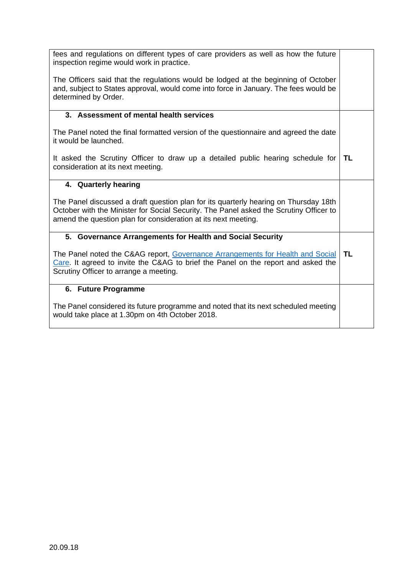| fees and regulations on different types of care providers as well as how the future<br>inspection regime would work in practice.                                                                                                                 |           |
|--------------------------------------------------------------------------------------------------------------------------------------------------------------------------------------------------------------------------------------------------|-----------|
| The Officers said that the regulations would be lodged at the beginning of October<br>and, subject to States approval, would come into force in January. The fees would be<br>determined by Order.                                               |           |
| 3. Assessment of mental health services                                                                                                                                                                                                          |           |
| The Panel noted the final formatted version of the questionnaire and agreed the date<br>it would be launched.                                                                                                                                    |           |
| It asked the Scrutiny Officer to draw up a detailed public hearing schedule for<br>consideration at its next meeting.                                                                                                                            | <b>TL</b> |
| 4. Quarterly hearing                                                                                                                                                                                                                             |           |
| The Panel discussed a draft question plan for its quarterly hearing on Thursday 18th<br>October with the Minister for Social Security. The Panel asked the Scrutiny Officer to<br>amend the question plan for consideration at its next meeting. |           |
| 5. Governance Arrangements for Health and Social Security                                                                                                                                                                                        |           |
| The Panel noted the C&AG report, Governance Arrangements for Health and Social<br>Care. It agreed to invite the C&AG to brief the Panel on the report and asked the<br>Scrutiny Officer to arrange a meeting.                                    | TL        |
| 6. Future Programme                                                                                                                                                                                                                              |           |
| The Panel considered its future programme and noted that its next scheduled meeting<br>would take place at 1.30pm on 4th October 2018.                                                                                                           |           |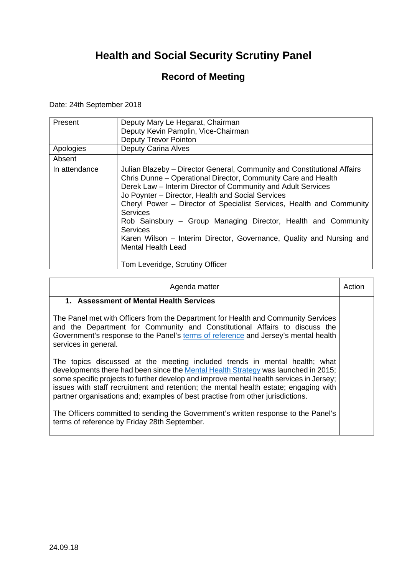### **Record of Meeting**

Date: 24th September 2018

| Present<br>Apologies | Deputy Mary Le Hegarat, Chairman<br>Deputy Kevin Pamplin, Vice-Chairman<br><b>Deputy Trevor Pointon</b><br><b>Deputy Carina Alves</b>                                                                                                                                                                                                                                                                                                                                                                                                                                         |
|----------------------|-------------------------------------------------------------------------------------------------------------------------------------------------------------------------------------------------------------------------------------------------------------------------------------------------------------------------------------------------------------------------------------------------------------------------------------------------------------------------------------------------------------------------------------------------------------------------------|
| Absent               |                                                                                                                                                                                                                                                                                                                                                                                                                                                                                                                                                                               |
| In attendance        | Julian Blazeby – Director General, Community and Constitutional Affairs<br>Chris Dunne - Operational Director, Community Care and Health<br>Derek Law – Interim Director of Community and Adult Services<br>Jo Poynter - Director, Health and Social Services<br>Cheryl Power – Director of Specialist Services, Health and Community<br><b>Services</b><br>Rob Sainsbury - Group Managing Director, Health and Community<br>Services<br>Karen Wilson – Interim Director, Governance, Quality and Nursing and<br><b>Mental Health Lead</b><br>Tom Leveridge, Scrutiny Officer |

| Agenda matter                                                                                                                                                                                                                                                                                                                                                                                                                         | Action |
|---------------------------------------------------------------------------------------------------------------------------------------------------------------------------------------------------------------------------------------------------------------------------------------------------------------------------------------------------------------------------------------------------------------------------------------|--------|
| 1. Assessment of Mental Health Services                                                                                                                                                                                                                                                                                                                                                                                               |        |
| The Panel met with Officers from the Department for Health and Community Services<br>and the Department for Community and Constitutional Affairs to discuss the<br>Government's response to the Panel's terms of reference and Jersey's mental health<br>services in general.                                                                                                                                                         |        |
| The topics discussed at the meeting included trends in mental health; what<br>developments there had been since the Mental Health Strategy was launched in 2015;<br>some specific projects to further develop and improve mental health services in Jersey;<br>issues with staff recruitment and retention; the mental health estate; engaging with<br>partner organisations and; examples of best practise from other jurisdictions. |        |
| The Officers committed to sending the Government's written response to the Panel's<br>terms of reference by Friday 28th September.                                                                                                                                                                                                                                                                                                    |        |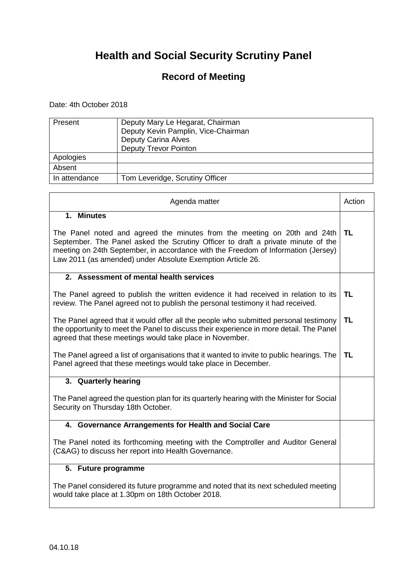### **Record of Meeting**

Date: 4th October 2018

 $\mathbf{r}$ 

| Present       | Deputy Mary Le Hegarat, Chairman<br>Deputy Kevin Pamplin, Vice-Chairman<br><b>Deputy Carina Alves</b><br><b>Deputy Trevor Pointon</b> |
|---------------|---------------------------------------------------------------------------------------------------------------------------------------|
| Apologies     |                                                                                                                                       |
| Absent        |                                                                                                                                       |
| In attendance | Tom Leveridge, Scrutiny Officer                                                                                                       |

| Agenda matter                                                                                                                                                                                                                                                                                                                 | Action    |
|-------------------------------------------------------------------------------------------------------------------------------------------------------------------------------------------------------------------------------------------------------------------------------------------------------------------------------|-----------|
| 1. Minutes<br>The Panel noted and agreed the minutes from the meeting on 20th and 24th<br>September. The Panel asked the Scrutiny Officer to draft a private minute of the<br>meeting on 24th September, in accordance with the Freedom of Information (Jersey)<br>Law 2011 (as amended) under Absolute Exemption Article 26. | <b>TL</b> |
| 2. Assessment of mental health services                                                                                                                                                                                                                                                                                       |           |
| The Panel agreed to publish the written evidence it had received in relation to its<br>review. The Panel agreed not to publish the personal testimony it had received.                                                                                                                                                        | <b>TL</b> |
| The Panel agreed that it would offer all the people who submitted personal testimony<br>the opportunity to meet the Panel to discuss their experience in more detail. The Panel<br>agreed that these meetings would take place in November.                                                                                   | <b>TL</b> |
| The Panel agreed a list of organisations that it wanted to invite to public hearings. The<br>Panel agreed that these meetings would take place in December.                                                                                                                                                                   | TL        |
| 3. Quarterly hearing                                                                                                                                                                                                                                                                                                          |           |
| The Panel agreed the question plan for its quarterly hearing with the Minister for Social<br>Security on Thursday 18th October.                                                                                                                                                                                               |           |
| 4. Governance Arrangements for Health and Social Care                                                                                                                                                                                                                                                                         |           |
| The Panel noted its forthcoming meeting with the Comptroller and Auditor General<br>(C&AG) to discuss her report into Health Governance.                                                                                                                                                                                      |           |
| 5. Future programme                                                                                                                                                                                                                                                                                                           |           |
| The Panel considered its future programme and noted that its next scheduled meeting<br>would take place at 1.30pm on 18th October 2018.                                                                                                                                                                                       |           |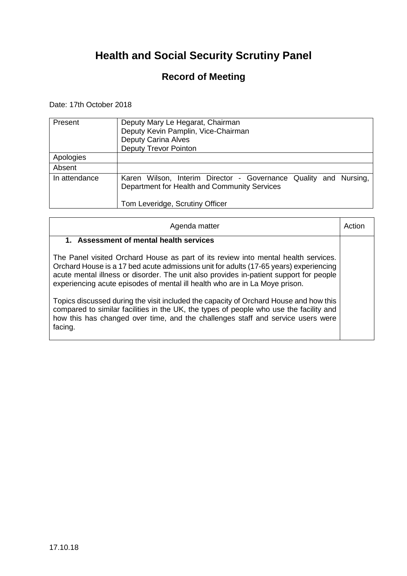### **Record of Meeting**

Date: 17th October 2018

| Present       | Deputy Mary Le Hegarat, Chairman<br>Deputy Kevin Pamplin, Vice-Chairman<br><b>Deputy Carina Alves</b><br><b>Deputy Trevor Pointon</b>               |
|---------------|-----------------------------------------------------------------------------------------------------------------------------------------------------|
| Apologies     |                                                                                                                                                     |
| Absent        |                                                                                                                                                     |
| In attendance | Karen Wilson, Interim Director - Governance Quality and Nursing,<br>Department for Health and Community Services<br>Tom Leveridge, Scrutiny Officer |

| Agenda matter                                                                                                                                                                                                                                                                                                                                        | Action |
|------------------------------------------------------------------------------------------------------------------------------------------------------------------------------------------------------------------------------------------------------------------------------------------------------------------------------------------------------|--------|
| <b>Assessment of mental health services</b><br>$1_{-}$                                                                                                                                                                                                                                                                                               |        |
| The Panel visited Orchard House as part of its review into mental health services.<br>Orchard House is a 17 bed acute admissions unit for adults (17-65 years) experiencing<br>acute mental illness or disorder. The unit also provides in-patient support for people<br>experiencing acute episodes of mental ill health who are in La Moye prison. |        |
| Topics discussed during the visit included the capacity of Orchard House and how this<br>compared to similar facilities in the UK, the types of people who use the facility and<br>how this has changed over time, and the challenges staff and service users were<br>facing.                                                                        |        |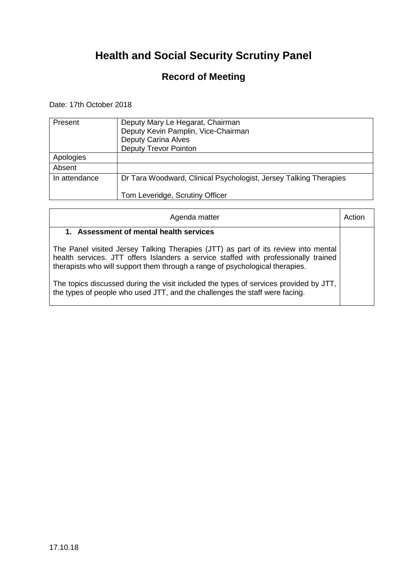### **Record of Meeting**

Date: 17th October 2018

| Present       | Deputy Mary Le Hegarat, Chairman<br>Deputy Kevin Pamplin, Vice-Chairman<br><b>Deputy Carina Alves</b><br><b>Deputy Trevor Pointon</b> |
|---------------|---------------------------------------------------------------------------------------------------------------------------------------|
| Apologies     |                                                                                                                                       |
| Absent        |                                                                                                                                       |
| In attendance | Dr Tara Woodward, Clinical Psychologist, Jersey Talking Therapies<br>Tom Leveridge, Scrutiny Officer                                  |
|               |                                                                                                                                       |

| Agenda matter                                                                                                                                                                                                                                             | Action |
|-----------------------------------------------------------------------------------------------------------------------------------------------------------------------------------------------------------------------------------------------------------|--------|
| 1. Assessment of mental health services                                                                                                                                                                                                                   |        |
| The Panel visited Jersey Talking Therapies (JTT) as part of its review into mental<br>health services. JTT offers Islanders a service staffed with professionally trained<br>therapists who will support them through a range of psychological therapies. |        |
| The topics discussed during the visit included the types of services provided by JTT,<br>the types of people who used JTT, and the challenges the staff were facing.                                                                                      |        |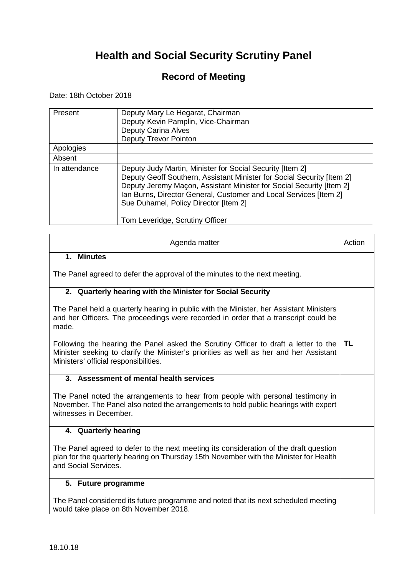### **Record of Meeting**

Date: 18th October 2018

| Present       | Deputy Mary Le Hegarat, Chairman<br>Deputy Kevin Pamplin, Vice-Chairman<br>Deputy Carina Alves<br><b>Deputy Trevor Pointon</b>                                                                                                                                                                                                                               |
|---------------|--------------------------------------------------------------------------------------------------------------------------------------------------------------------------------------------------------------------------------------------------------------------------------------------------------------------------------------------------------------|
| Apologies     |                                                                                                                                                                                                                                                                                                                                                              |
| Absent        |                                                                                                                                                                                                                                                                                                                                                              |
| In attendance | Deputy Judy Martin, Minister for Social Security [Item 2]<br>Deputy Geoff Southern, Assistant Minister for Social Security [Item 2]<br>Deputy Jeremy Maçon, Assistant Minister for Social Security [Item 2]<br>Ian Burns, Director General, Customer and Local Services [Item 2]<br>Sue Duhamel, Policy Director [Item 2]<br>Tom Leveridge, Scrutiny Officer |

| Agenda matter                                                                                                                                                                                                          | Action |
|------------------------------------------------------------------------------------------------------------------------------------------------------------------------------------------------------------------------|--------|
| 1. Minutes                                                                                                                                                                                                             |        |
| The Panel agreed to defer the approval of the minutes to the next meeting.                                                                                                                                             |        |
| 2. Quarterly hearing with the Minister for Social Security                                                                                                                                                             |        |
| The Panel held a quarterly hearing in public with the Minister, her Assistant Ministers<br>and her Officers. The proceedings were recorded in order that a transcript could be<br>made.                                |        |
| Following the hearing the Panel asked the Scrutiny Officer to draft a letter to the<br>Minister seeking to clarify the Minister's priorities as well as her and her Assistant<br>Ministers' official responsibilities. | TL     |
| 3. Assessment of mental health services                                                                                                                                                                                |        |
| The Panel noted the arrangements to hear from people with personal testimony in<br>November. The Panel also noted the arrangements to hold public hearings with expert<br>witnesses in December.                       |        |
| 4. Quarterly hearing                                                                                                                                                                                                   |        |
| The Panel agreed to defer to the next meeting its consideration of the draft question<br>plan for the quarterly hearing on Thursday 15th November with the Minister for Health<br>and Social Services.                 |        |
| 5. Future programme                                                                                                                                                                                                    |        |
| The Panel considered its future programme and noted that its next scheduled meeting<br>would take place on 8th November 2018.                                                                                          |        |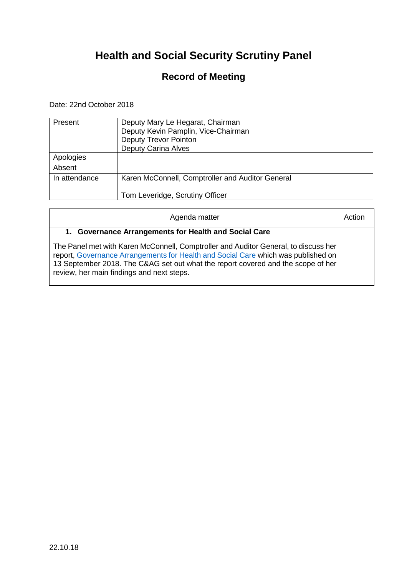### **Record of Meeting**

Date: 22nd October 2018

| Present       | Deputy Mary Le Hegarat, Chairman<br>Deputy Kevin Pamplin, Vice-Chairman<br><b>Deputy Trevor Pointon</b><br><b>Deputy Carina Alves</b> |
|---------------|---------------------------------------------------------------------------------------------------------------------------------------|
| Apologies     |                                                                                                                                       |
| Absent        |                                                                                                                                       |
| In attendance | Karen McConnell, Comptroller and Auditor General                                                                                      |
|               | Tom Leveridge, Scrutiny Officer                                                                                                       |

| Agenda matter                                                                                                                                                                                                                                                                                             | Action |
|-----------------------------------------------------------------------------------------------------------------------------------------------------------------------------------------------------------------------------------------------------------------------------------------------------------|--------|
| 1. Governance Arrangements for Health and Social Care                                                                                                                                                                                                                                                     |        |
| The Panel met with Karen McConnell, Comptroller and Auditor General, to discuss her<br>report, Governance Arrangements for Health and Social Care which was published on<br>13 September 2018. The C&AG set out what the report covered and the scope of her<br>review, her main findings and next steps. |        |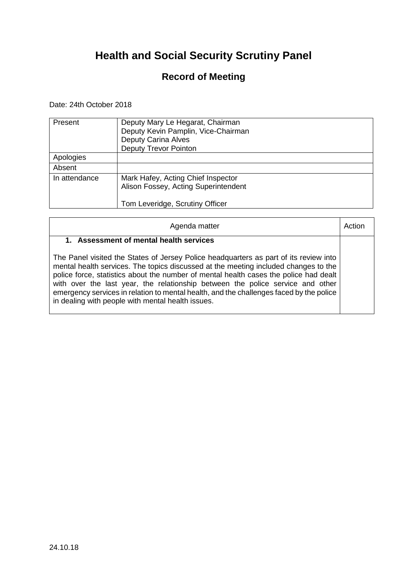### **Record of Meeting**

Date: 24th October 2018

| Present       | Deputy Mary Le Hegarat, Chairman<br>Deputy Kevin Pamplin, Vice-Chairman<br><b>Deputy Carina Alves</b><br><b>Deputy Trevor Pointon</b> |
|---------------|---------------------------------------------------------------------------------------------------------------------------------------|
| Apologies     |                                                                                                                                       |
| Absent        |                                                                                                                                       |
| In attendance | Mark Hafey, Acting Chief Inspector<br>Alison Fossey, Acting Superintendent<br>Tom Leveridge, Scrutiny Officer                         |

| Agenda matter                                                                                                                                                                                                                                                                                                                                                                                                                                                                                           | Action |
|---------------------------------------------------------------------------------------------------------------------------------------------------------------------------------------------------------------------------------------------------------------------------------------------------------------------------------------------------------------------------------------------------------------------------------------------------------------------------------------------------------|--------|
| 1. Assessment of mental health services                                                                                                                                                                                                                                                                                                                                                                                                                                                                 |        |
| The Panel visited the States of Jersey Police headquarters as part of its review into<br>mental health services. The topics discussed at the meeting included changes to the<br>police force, statistics about the number of mental health cases the police had dealt<br>with over the last year, the relationship between the police service and other<br>emergency services in relation to mental health, and the challenges faced by the police<br>in dealing with people with mental health issues. |        |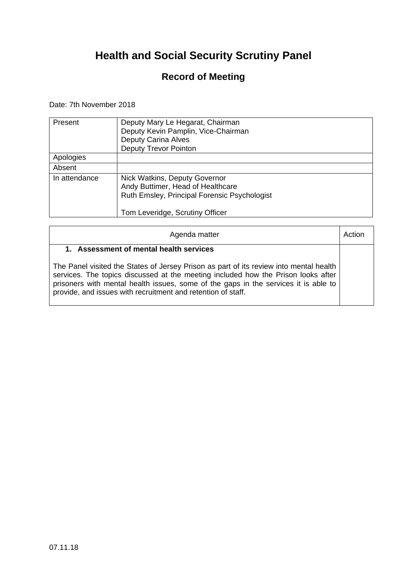### **Record of Meeting**

Date: 7th November 2018

| Present       | Deputy Mary Le Hegarat, Chairman<br>Deputy Kevin Pamplin, Vice-Chairman<br><b>Deputy Carina Alves</b><br><b>Deputy Trevor Pointon</b>                 |
|---------------|-------------------------------------------------------------------------------------------------------------------------------------------------------|
| Apologies     |                                                                                                                                                       |
| Absent        |                                                                                                                                                       |
| In attendance | Nick Watkins, Deputy Governor<br>Andy Buttimer, Head of Healthcare<br>Ruth Emsley, Principal Forensic Psychologist<br>Tom Leveridge, Scrutiny Officer |

| Agenda matter                                                                                                                                                                                                                                                                                                                      |  |
|------------------------------------------------------------------------------------------------------------------------------------------------------------------------------------------------------------------------------------------------------------------------------------------------------------------------------------|--|
| 1. Assessment of mental health services                                                                                                                                                                                                                                                                                            |  |
| The Panel visited the States of Jersey Prison as part of its review into mental health<br>services. The topics discussed at the meeting included how the Prison looks after<br>prisoners with mental health issues, some of the gaps in the services it is able to<br>provide, and issues with recruitment and retention of staff. |  |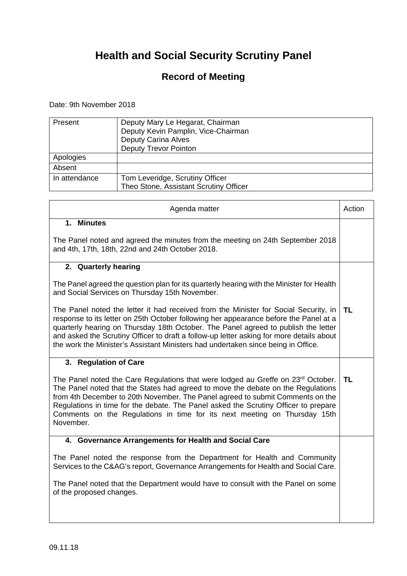### **Record of Meeting**

#### Date: 9th November 2018

 $\blacksquare$ 

| Present       | Deputy Mary Le Hegarat, Chairman<br>Deputy Kevin Pamplin, Vice-Chairman<br><b>Deputy Carina Alves</b><br><b>Deputy Trevor Pointon</b> |
|---------------|---------------------------------------------------------------------------------------------------------------------------------------|
| Apologies     |                                                                                                                                       |
| Absent        |                                                                                                                                       |
| In attendance | Tom Leveridge, Scrutiny Officer<br>Theo Stone, Assistant Scrutiny Officer                                                             |

| Agenda matter                                                                                                                                                                                                                                                                                                                                                                                                                                        | Action |
|------------------------------------------------------------------------------------------------------------------------------------------------------------------------------------------------------------------------------------------------------------------------------------------------------------------------------------------------------------------------------------------------------------------------------------------------------|--------|
| 1. Minutes                                                                                                                                                                                                                                                                                                                                                                                                                                           |        |
| The Panel noted and agreed the minutes from the meeting on 24th September 2018<br>and 4th, 17th, 18th, 22nd and 24th October 2018.                                                                                                                                                                                                                                                                                                                   |        |
| 2. Quarterly hearing                                                                                                                                                                                                                                                                                                                                                                                                                                 |        |
| The Panel agreed the question plan for its quarterly hearing with the Minister for Health<br>and Social Services on Thursday 15th November.                                                                                                                                                                                                                                                                                                          |        |
| The Panel noted the letter it had received from the Minister for Social Security, in<br>response to its letter on 25th October following her appearance before the Panel at a<br>quarterly hearing on Thursday 18th October. The Panel agreed to publish the letter<br>and asked the Scrutiny Officer to draft a follow-up letter asking for more details about<br>the work the Minister's Assistant Ministers had undertaken since being in Office. | TL     |
| 3. Regulation of Care                                                                                                                                                                                                                                                                                                                                                                                                                                |        |
| The Panel noted the Care Regulations that were lodged au Greffe on 23 <sup>rd</sup> October.<br>The Panel noted that the States had agreed to move the debate on the Regulations<br>from 4th December to 20th November. The Panel agreed to submit Comments on the<br>Regulations in time for the debate. The Panel asked the Scrutiny Officer to prepare<br>Comments on the Regulations in time for its next meeting on Thursday 15th<br>November.  | TL     |
| 4. Governance Arrangements for Health and Social Care                                                                                                                                                                                                                                                                                                                                                                                                |        |
| The Panel noted the response from the Department for Health and Community<br>Services to the C&AG's report, Governance Arrangements for Health and Social Care.                                                                                                                                                                                                                                                                                      |        |
| The Panel noted that the Department would have to consult with the Panel on some<br>of the proposed changes.                                                                                                                                                                                                                                                                                                                                         |        |
|                                                                                                                                                                                                                                                                                                                                                                                                                                                      |        |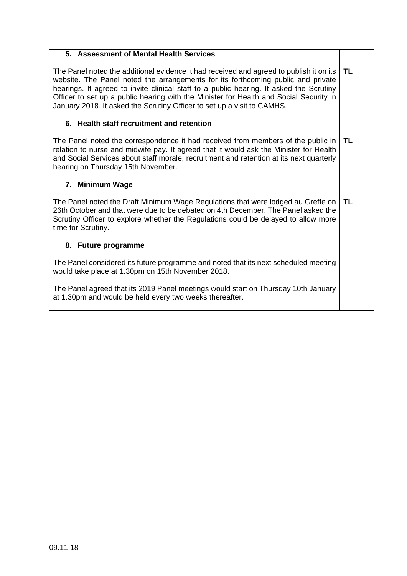| 5. Assessment of Mental Health Services                                                                                                                                                                                                                                                                                                                                                                                                     |           |
|---------------------------------------------------------------------------------------------------------------------------------------------------------------------------------------------------------------------------------------------------------------------------------------------------------------------------------------------------------------------------------------------------------------------------------------------|-----------|
| The Panel noted the additional evidence it had received and agreed to publish it on its<br>website. The Panel noted the arrangements for its forthcoming public and private<br>hearings. It agreed to invite clinical staff to a public hearing. It asked the Scrutiny<br>Officer to set up a public hearing with the Minister for Health and Social Security in<br>January 2018. It asked the Scrutiny Officer to set up a visit to CAMHS. | TL.       |
| 6. Health staff recruitment and retention                                                                                                                                                                                                                                                                                                                                                                                                   |           |
| The Panel noted the correspondence it had received from members of the public in<br>relation to nurse and midwife pay. It agreed that it would ask the Minister for Health<br>and Social Services about staff morale, recruitment and retention at its next quarterly<br>hearing on Thursday 15th November.                                                                                                                                 | <b>TL</b> |
| 7. Minimum Wage                                                                                                                                                                                                                                                                                                                                                                                                                             |           |
| The Panel noted the Draft Minimum Wage Regulations that were lodged au Greffe on<br>26th October and that were due to be debated on 4th December. The Panel asked the<br>Scrutiny Officer to explore whether the Regulations could be delayed to allow more<br>time for Scrutiny.                                                                                                                                                           | TL        |
| 8. Future programme                                                                                                                                                                                                                                                                                                                                                                                                                         |           |
| The Panel considered its future programme and noted that its next scheduled meeting<br>would take place at 1.30pm on 15th November 2018.                                                                                                                                                                                                                                                                                                    |           |
| The Panel agreed that its 2019 Panel meetings would start on Thursday 10th January                                                                                                                                                                                                                                                                                                                                                          |           |
| at 1.30pm and would be held every two weeks thereafter.                                                                                                                                                                                                                                                                                                                                                                                     |           |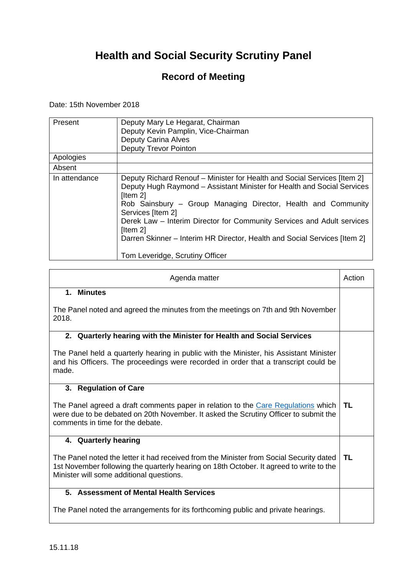### **Record of Meeting**

Date: 15th November 2018

| Present       | Deputy Mary Le Hegarat, Chairman<br>Deputy Kevin Pamplin, Vice-Chairman<br><b>Deputy Carina Alves</b><br><b>Deputy Trevor Pointon</b>                                                                                                                                                                                                                                                                                                                             |
|---------------|-------------------------------------------------------------------------------------------------------------------------------------------------------------------------------------------------------------------------------------------------------------------------------------------------------------------------------------------------------------------------------------------------------------------------------------------------------------------|
| Apologies     |                                                                                                                                                                                                                                                                                                                                                                                                                                                                   |
| Absent        |                                                                                                                                                                                                                                                                                                                                                                                                                                                                   |
| In attendance | Deputy Richard Renouf – Minister for Health and Social Services [Item 2]<br>Deputy Hugh Raymond - Assistant Minister for Health and Social Services<br>$[$ ltem 2 $]$<br>Rob Sainsbury – Group Managing Director, Health and Community<br>Services [Item 2]<br>Derek Law – Interim Director for Community Services and Adult services<br>[Item 2]<br>Darren Skinner – Interim HR Director, Health and Social Services [Item 2]<br>Tom Leveridge, Scrutiny Officer |

| Agenda matter                                                                                                                                                                                                                  | Action    |
|--------------------------------------------------------------------------------------------------------------------------------------------------------------------------------------------------------------------------------|-----------|
| 1. Minutes                                                                                                                                                                                                                     |           |
| The Panel noted and agreed the minutes from the meetings on 7th and 9th November<br>2018.                                                                                                                                      |           |
| 2. Quarterly hearing with the Minister for Health and Social Services                                                                                                                                                          |           |
| The Panel held a quarterly hearing in public with the Minister, his Assistant Minister<br>and his Officers. The proceedings were recorded in order that a transcript could be<br>made.                                         |           |
| 3. Regulation of Care                                                                                                                                                                                                          |           |
| The Panel agreed a draft comments paper in relation to the Care Regulations which<br>were due to be debated on 20th November. It asked the Scrutiny Officer to submit the<br>comments in time for the debate.                  | <b>TL</b> |
| 4. Quarterly hearing                                                                                                                                                                                                           |           |
| The Panel noted the letter it had received from the Minister from Social Security dated<br>1st November following the quarterly hearing on 18th October. It agreed to write to the<br>Minister will some additional questions. | <b>TL</b> |
| 5. Assessment of Mental Health Services                                                                                                                                                                                        |           |
| The Panel noted the arrangements for its forthcoming public and private hearings.                                                                                                                                              |           |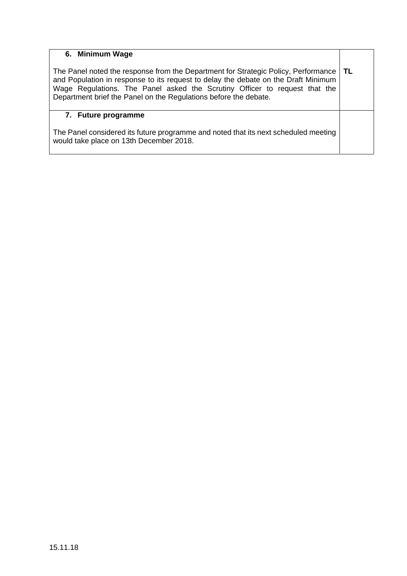#### **6. Minimum Wage**

The Panel noted the response from the Department for Strategic Policy, Performance and Population in response to its request to delay the debate on the Draft Minimum Wage Regulations. The Panel asked the Scrutiny Officer to request that the Department brief the Panel on the Regulations before the debate. **TL** 

#### **7. Future programme**

The Panel considered its future programme and noted that its next scheduled meeting would take place on 13th December 2018.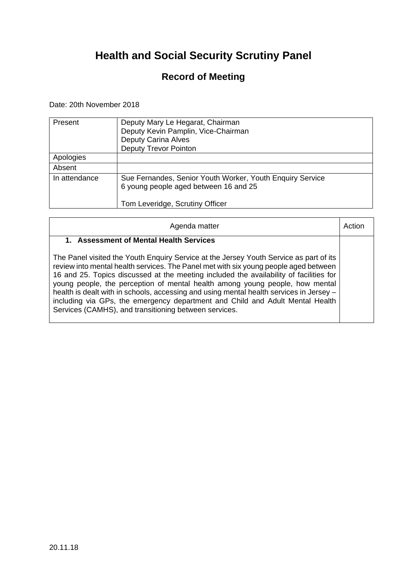### **Record of Meeting**

Date: 20th November 2018

| Present       | Deputy Mary Le Hegarat, Chairman<br>Deputy Kevin Pamplin, Vice-Chairman<br><b>Deputy Carina Alves</b><br><b>Deputy Trevor Pointon</b> |
|---------------|---------------------------------------------------------------------------------------------------------------------------------------|
| Apologies     |                                                                                                                                       |
| Absent        |                                                                                                                                       |
| In attendance | Sue Fernandes, Senior Youth Worker, Youth Enquiry Service<br>6 young people aged between 16 and 25<br>Tom Leveridge, Scrutiny Officer |

| Agenda matter                                                                                                                                                                                                                                                                                                                                                                                                                                                                                                                                                                                 | Actior |
|-----------------------------------------------------------------------------------------------------------------------------------------------------------------------------------------------------------------------------------------------------------------------------------------------------------------------------------------------------------------------------------------------------------------------------------------------------------------------------------------------------------------------------------------------------------------------------------------------|--------|
| 1. Assessment of Mental Health Services                                                                                                                                                                                                                                                                                                                                                                                                                                                                                                                                                       |        |
| The Panel visited the Youth Enguiry Service at the Jersey Youth Service as part of its<br>review into mental health services. The Panel met with six young people aged between<br>16 and 25. Topics discussed at the meeting included the availability of facilities for<br>young people, the perception of mental health among young people, how mental<br>health is dealt with in schools, accessing and using mental health services in Jersey -<br>including via GPs, the emergency department and Child and Adult Mental Health<br>Services (CAMHS), and transitioning between services. |        |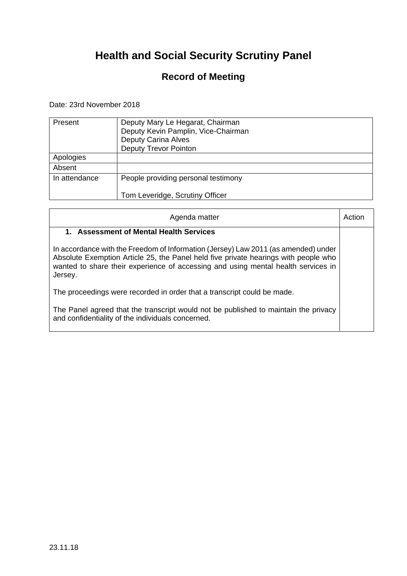### **Record of Meeting**

Date: 23rd November 2018

| Present       | Deputy Mary Le Hegarat, Chairman<br>Deputy Kevin Pamplin, Vice-Chairman<br><b>Deputy Carina Alves</b><br><b>Deputy Trevor Pointon</b> |
|---------------|---------------------------------------------------------------------------------------------------------------------------------------|
| Apologies     |                                                                                                                                       |
| Absent        |                                                                                                                                       |
| In attendance | People providing personal testimony                                                                                                   |
|               | Tom Leveridge, Scrutiny Officer                                                                                                       |

| Agenda matter                                                                                                                                                                                                                                                             | Action |
|---------------------------------------------------------------------------------------------------------------------------------------------------------------------------------------------------------------------------------------------------------------------------|--------|
| 1. Assessment of Mental Health Services                                                                                                                                                                                                                                   |        |
| In accordance with the Freedom of Information (Jersey) Law 2011 (as amended) under<br>Absolute Exemption Article 25, the Panel held five private hearings with people who<br>wanted to share their experience of accessing and using mental health services in<br>Jersey. |        |
| The proceedings were recorded in order that a transcript could be made.                                                                                                                                                                                                   |        |
| The Panel agreed that the transcript would not be published to maintain the privacy<br>and confidentiality of the individuals concerned.                                                                                                                                  |        |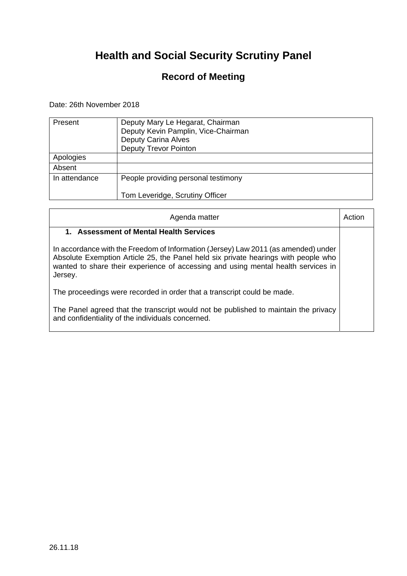### **Record of Meeting**

Date: 26th November 2018

| Present       | Deputy Mary Le Hegarat, Chairman<br>Deputy Kevin Pamplin, Vice-Chairman<br><b>Deputy Carina Alves</b><br><b>Deputy Trevor Pointon</b> |
|---------------|---------------------------------------------------------------------------------------------------------------------------------------|
| Apologies     |                                                                                                                                       |
| Absent        |                                                                                                                                       |
| In attendance | People providing personal testimony                                                                                                   |
|               | Tom Leveridge, Scrutiny Officer                                                                                                       |

| Agenda matter                                                                                                                                                                                                                                                            | Action |
|--------------------------------------------------------------------------------------------------------------------------------------------------------------------------------------------------------------------------------------------------------------------------|--------|
| 1. Assessment of Mental Health Services                                                                                                                                                                                                                                  |        |
| In accordance with the Freedom of Information (Jersey) Law 2011 (as amended) under<br>Absolute Exemption Article 25, the Panel held six private hearings with people who<br>wanted to share their experience of accessing and using mental health services in<br>Jersey. |        |
| The proceedings were recorded in order that a transcript could be made.                                                                                                                                                                                                  |        |
| The Panel agreed that the transcript would not be published to maintain the privacy<br>and confidentiality of the individuals concerned.                                                                                                                                 |        |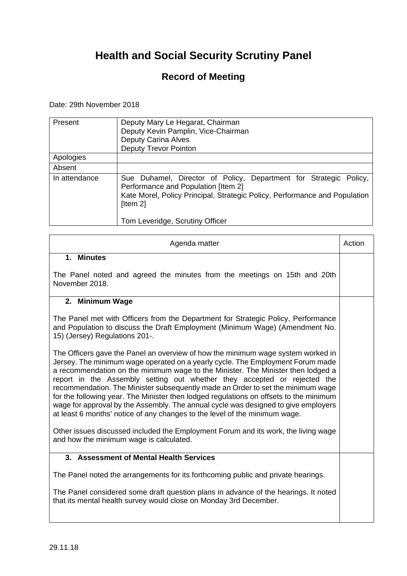### **Record of Meeting**

#### Date: 29th November 2018

| Present       | Deputy Mary Le Hegarat, Chairman<br>Deputy Kevin Pamplin, Vice-Chairman<br><b>Deputy Carina Alves</b><br><b>Deputy Trevor Pointon</b>                                                              |
|---------------|----------------------------------------------------------------------------------------------------------------------------------------------------------------------------------------------------|
| Apologies     |                                                                                                                                                                                                    |
| Absent        |                                                                                                                                                                                                    |
| In attendance | Sue Duhamel, Director of Policy, Department for Strategic Policy,<br>Performance and Population [Item 2]<br>Kate Morel, Policy Principal, Strategic Policy, Performance and Population<br>[Item 2] |
|               | Tom Leveridge, Scrutiny Officer                                                                                                                                                                    |

| Agenda matter                                                                                                                                                                                                                                                                                                                                                                                                                                                                                                                                                                                                                                                                                                                                                             | Action |
|---------------------------------------------------------------------------------------------------------------------------------------------------------------------------------------------------------------------------------------------------------------------------------------------------------------------------------------------------------------------------------------------------------------------------------------------------------------------------------------------------------------------------------------------------------------------------------------------------------------------------------------------------------------------------------------------------------------------------------------------------------------------------|--------|
| 1. Minutes                                                                                                                                                                                                                                                                                                                                                                                                                                                                                                                                                                                                                                                                                                                                                                |        |
| The Panel noted and agreed the minutes from the meetings on 15th and 20th<br>November 2018.                                                                                                                                                                                                                                                                                                                                                                                                                                                                                                                                                                                                                                                                               |        |
| 2. Minimum Wage                                                                                                                                                                                                                                                                                                                                                                                                                                                                                                                                                                                                                                                                                                                                                           |        |
| The Panel met with Officers from the Department for Strategic Policy, Performance<br>and Population to discuss the Draft Employment (Minimum Wage) (Amendment No.<br>15) (Jersey) Regulations 201-.                                                                                                                                                                                                                                                                                                                                                                                                                                                                                                                                                                       |        |
| The Officers gave the Panel an overview of how the minimum wage system worked in<br>Jersey. The minimum wage operated on a yearly cycle. The Employment Forum made<br>a recommendation on the minimum wage to the Minister. The Minister then lodged a<br>report in the Assembly setting out whether they accepted or rejected the<br>recommendation. The Minister subsequently made an Order to set the minimum wage<br>for the following year. The Minister then lodged regulations on offsets to the minimum<br>wage for approval by the Assembly. The annual cycle was designed to give employers<br>at least 6 months' notice of any changes to the level of the minimum wage.<br>Other issues discussed included the Employment Forum and its work, the living wage |        |
| and how the minimum wage is calculated.                                                                                                                                                                                                                                                                                                                                                                                                                                                                                                                                                                                                                                                                                                                                   |        |
| 3. Assessment of Mental Health Services                                                                                                                                                                                                                                                                                                                                                                                                                                                                                                                                                                                                                                                                                                                                   |        |
| The Panel noted the arrangements for its forthcoming public and private hearings.                                                                                                                                                                                                                                                                                                                                                                                                                                                                                                                                                                                                                                                                                         |        |
| The Panel considered some draft question plans in advance of the hearings. It noted<br>that its mental health survey would close on Monday 3rd December.                                                                                                                                                                                                                                                                                                                                                                                                                                                                                                                                                                                                                  |        |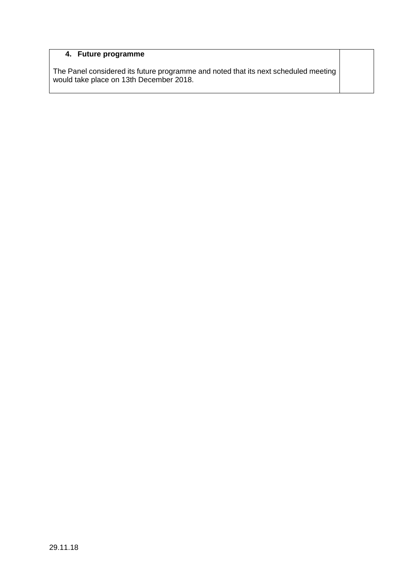#### **4. Future programme**

The Panel considered its future programme and noted that its next scheduled meeting would take place on 13th December 2018.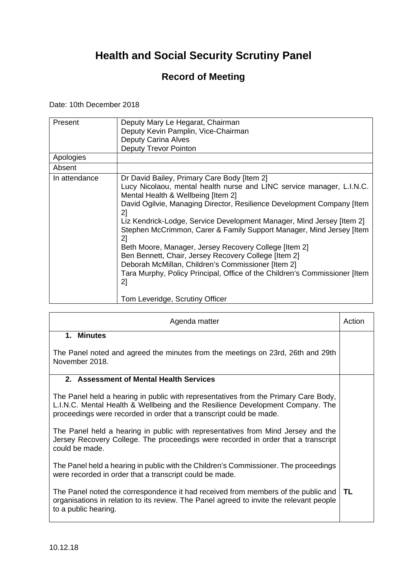### **Record of Meeting**

Date: 10th December 2018

| Present<br>Apologies | Deputy Mary Le Hegarat, Chairman<br>Deputy Kevin Pamplin, Vice-Chairman<br><b>Deputy Carina Alves</b><br>Deputy Trevor Pointon                                                                                                                                                                                                                                                                                                                                                                                                                                                                                                                                                                    |
|----------------------|---------------------------------------------------------------------------------------------------------------------------------------------------------------------------------------------------------------------------------------------------------------------------------------------------------------------------------------------------------------------------------------------------------------------------------------------------------------------------------------------------------------------------------------------------------------------------------------------------------------------------------------------------------------------------------------------------|
| Absent               |                                                                                                                                                                                                                                                                                                                                                                                                                                                                                                                                                                                                                                                                                                   |
| In attendance        | Dr David Bailey, Primary Care Body [Item 2]<br>Lucy Nicolaou, mental health nurse and LINC service manager, L.I.N.C.<br>Mental Health & Wellbeing [Item 2]<br>David Ogilvie, Managing Director, Resilience Development Company [Item<br>2]<br>Liz Kendrick-Lodge, Service Development Manager, Mind Jersey [Item 2]<br>Stephen McCrimmon, Carer & Family Support Manager, Mind Jersey [Item]<br>21<br>Beth Moore, Manager, Jersey Recovery College [Item 2]<br>Ben Bennett, Chair, Jersey Recovery College [Item 2]<br>Deborah McMillan, Children's Commissioner [Item 2]<br>Tara Murphy, Policy Principal, Office of the Children's Commissioner [Item]<br>2]<br>Tom Leveridge, Scrutiny Officer |

| Agenda matter                                                                                                                                                                                                                                | Action |
|----------------------------------------------------------------------------------------------------------------------------------------------------------------------------------------------------------------------------------------------|--------|
| $1_{-}$<br><b>Minutes</b>                                                                                                                                                                                                                    |        |
| The Panel noted and agreed the minutes from the meetings on 23rd, 26th and 29th<br>November 2018.                                                                                                                                            |        |
| 2. Assessment of Mental Health Services                                                                                                                                                                                                      |        |
| The Panel held a hearing in public with representatives from the Primary Care Body,<br>L.I.N.C. Mental Health & Wellbeing and the Resilience Development Company. The<br>proceedings were recorded in order that a transcript could be made. |        |
| The Panel held a hearing in public with representatives from Mind Jersey and the<br>Jersey Recovery College. The proceedings were recorded in order that a transcript<br>could be made.                                                      |        |
| The Panel held a hearing in public with the Children's Commissioner. The proceedings<br>were recorded in order that a transcript could be made.                                                                                              |        |
| The Panel noted the correspondence it had received from members of the public and<br>organisations in relation to its review. The Panel agreed to invite the relevant people<br>to a public hearing.                                         | TL     |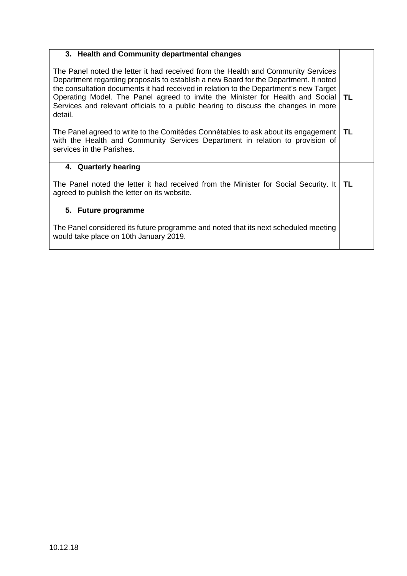| 3. Health and Community departmental changes                                                                                                                                                                                                                                                                                                                                                                                                          |     |
|-------------------------------------------------------------------------------------------------------------------------------------------------------------------------------------------------------------------------------------------------------------------------------------------------------------------------------------------------------------------------------------------------------------------------------------------------------|-----|
| The Panel noted the letter it had received from the Health and Community Services<br>Department regarding proposals to establish a new Board for the Department. It noted<br>the consultation documents it had received in relation to the Department's new Target<br>Operating Model. The Panel agreed to invite the Minister for Health and Social<br>Services and relevant officials to a public hearing to discuss the changes in more<br>detail. | TL. |
| The Panel agreed to write to the Comitédes Connétables to ask about its engagement<br>with the Health and Community Services Department in relation to provision of<br>services in the Parishes.                                                                                                                                                                                                                                                      | ΤL  |
| 4. Quarterly hearing                                                                                                                                                                                                                                                                                                                                                                                                                                  |     |
| The Panel noted the letter it had received from the Minister for Social Security. It<br>agreed to publish the letter on its website.                                                                                                                                                                                                                                                                                                                  | ΤL  |
| 5. Future programme                                                                                                                                                                                                                                                                                                                                                                                                                                   |     |
| The Panel considered its future programme and noted that its next scheduled meeting<br>would take place on 10th January 2019.                                                                                                                                                                                                                                                                                                                         |     |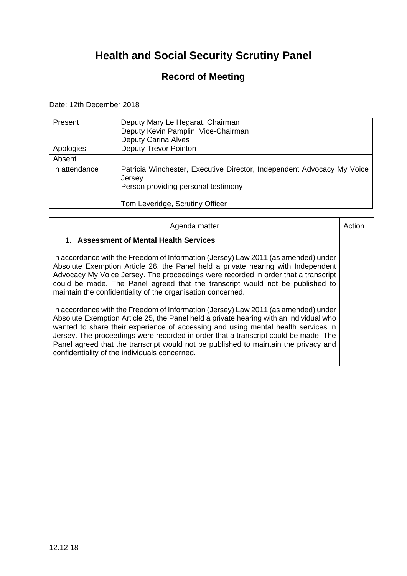### **Record of Meeting**

Date: 12th December 2018

| Present       | Deputy Mary Le Hegarat, Chairman<br>Deputy Kevin Pamplin, Vice-Chairman<br><b>Deputy Carina Alves</b>                   |
|---------------|-------------------------------------------------------------------------------------------------------------------------|
| Apologies     | <b>Deputy Trevor Pointon</b>                                                                                            |
| Absent        |                                                                                                                         |
| In attendance | Patricia Winchester, Executive Director, Independent Advocacy My Voice<br>Jersey<br>Person providing personal testimony |
|               | Tom Leveridge, Scrutiny Officer                                                                                         |

| Agenda matter                                                                                                                                                                                                                                                                                                                                                                                                                                                                                    | Actior |
|--------------------------------------------------------------------------------------------------------------------------------------------------------------------------------------------------------------------------------------------------------------------------------------------------------------------------------------------------------------------------------------------------------------------------------------------------------------------------------------------------|--------|
| 1. Assessment of Mental Health Services                                                                                                                                                                                                                                                                                                                                                                                                                                                          |        |
| In accordance with the Freedom of Information (Jersey) Law 2011 (as amended) under<br>Absolute Exemption Article 26, the Panel held a private hearing with Independent<br>Advocacy My Voice Jersey. The proceedings were recorded in order that a transcript<br>could be made. The Panel agreed that the transcript would not be published to<br>maintain the confidentiality of the organisation concerned.                                                                                     |        |
| In accordance with the Freedom of Information (Jersey) Law 2011 (as amended) under<br>Absolute Exemption Article 25, the Panel held a private hearing with an individual who<br>wanted to share their experience of accessing and using mental health services in<br>Jersey. The proceedings were recorded in order that a transcript could be made. The<br>Panel agreed that the transcript would not be published to maintain the privacy and<br>confidentiality of the individuals concerned. |        |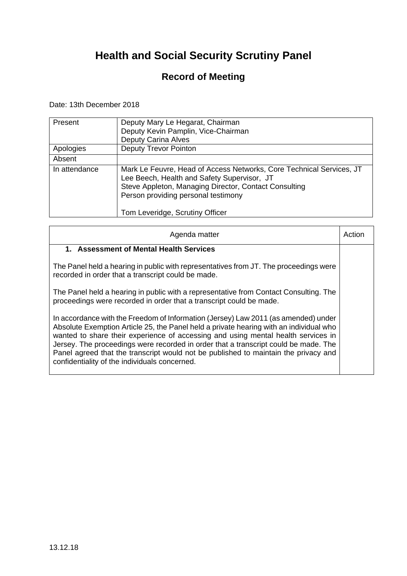### **Record of Meeting**

Date: 13th December 2018

| Present       | Deputy Mary Le Hegarat, Chairman<br>Deputy Kevin Pamplin, Vice-Chairman<br><b>Deputy Carina Alves</b>                                                                                                                                                  |
|---------------|--------------------------------------------------------------------------------------------------------------------------------------------------------------------------------------------------------------------------------------------------------|
| Apologies     | <b>Deputy Trevor Pointon</b>                                                                                                                                                                                                                           |
| Absent        |                                                                                                                                                                                                                                                        |
| In attendance | Mark Le Feuvre, Head of Access Networks, Core Technical Services, JT<br>Lee Beech, Health and Safety Supervisor, JT<br>Steve Appleton, Managing Director, Contact Consulting<br>Person providing personal testimony<br>Tom Leveridge, Scrutiny Officer |

| Agenda matter                                                                                                                                                                                                                                                                                                                                                                                                                                                                                    | Action |
|--------------------------------------------------------------------------------------------------------------------------------------------------------------------------------------------------------------------------------------------------------------------------------------------------------------------------------------------------------------------------------------------------------------------------------------------------------------------------------------------------|--------|
| 1. Assessment of Mental Health Services                                                                                                                                                                                                                                                                                                                                                                                                                                                          |        |
| The Panel held a hearing in public with representatives from JT. The proceedings were<br>recorded in order that a transcript could be made.                                                                                                                                                                                                                                                                                                                                                      |        |
| The Panel held a hearing in public with a representative from Contact Consulting. The<br>proceedings were recorded in order that a transcript could be made.                                                                                                                                                                                                                                                                                                                                     |        |
| In accordance with the Freedom of Information (Jersey) Law 2011 (as amended) under<br>Absolute Exemption Article 25, the Panel held a private hearing with an individual who<br>wanted to share their experience of accessing and using mental health services in<br>Jersey. The proceedings were recorded in order that a transcript could be made. The<br>Panel agreed that the transcript would not be published to maintain the privacy and<br>confidentiality of the individuals concerned. |        |